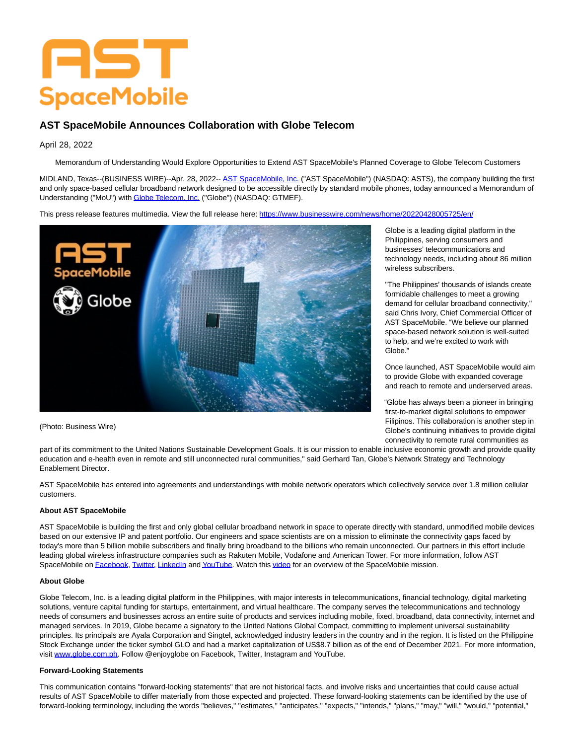# AST **SpaceMobile**

## **AST SpaceMobile Announces Collaboration with Globe Telecom**

### April 28, 2022

Memorandum of Understanding Would Explore Opportunities to Extend AST SpaceMobile's Planned Coverage to Globe Telecom Customers

MIDLAND, Texas--(BUSINESS WIRE)--Apr. 28, 2022-- [AST SpaceMobile, Inc. \(](https://cts.businesswire.com/ct/CT?id=smartlink&url=https%3A%2F%2Fast-science.com%2Fspacemobile%2F&esheet=52700691&newsitemid=20220428005725&lan=en-US&anchor=AST+SpaceMobile%2C+Inc.&index=1&md5=81908f914a3c2c9fb13ce354d4ce795a)"AST SpaceMobile") (NASDAQ: ASTS), the company building the first and only space-based cellular broadband network designed to be accessible directly by standard mobile phones, today announced a Memorandum of Understanding ("MoU") wit[h Globe Telecom, Inc. \(](https://cts.businesswire.com/ct/CT?id=smartlink&url=https%3A%2F%2Fwww.globe.com.ph%2F&esheet=52700691&newsitemid=20220428005725&lan=en-US&anchor=Globe+Telecom%2C+Inc.&index=2&md5=43b55bf8ba95fd823f95ac10f87418cf)"Globe") (NASDAQ: GTMEF).

This press release features multimedia. View the full release here:<https://www.businesswire.com/news/home/20220428005725/en/>



(Photo: Business Wire)

Globe is a leading digital platform in the Philippines, serving consumers and businesses' telecommunications and technology needs, including about 86 million wireless subscribers.

"The Philippines' thousands of islands create formidable challenges to meet a growing demand for cellular broadband connectivity," said Chris Ivory, Chief Commercial Officer of AST SpaceMobile. "We believe our planned space-based network solution is well-suited to help, and we're excited to work with Globe."

Once launched, AST SpaceMobile would aim to provide Globe with expanded coverage and reach to remote and underserved areas.

"Globe has always been a pioneer in bringing first-to-market digital solutions to empower Filipinos. This collaboration is another step in Globe's continuing initiatives to provide digital connectivity to remote rural communities as

part of its commitment to the United Nations Sustainable Development Goals. It is our mission to enable inclusive economic growth and provide quality education and e-health even in remote and still unconnected rural communities," said Gerhard Tan, Globe's Network Strategy and Technology Enablement Director.

AST SpaceMobile has entered into agreements and understandings with mobile network operators which collectively service over 1.8 million cellular customers.

#### **About AST SpaceMobile**

AST SpaceMobile is building the first and only global cellular broadband network in space to operate directly with standard, unmodified mobile devices based on our extensive IP and patent portfolio. Our engineers and space scientists are on a mission to eliminate the connectivity gaps faced by today's more than 5 billion mobile subscribers and finally bring broadband to the billions who remain unconnected. Our partners in this effort include leading global wireless infrastructure companies such as Rakuten Mobile, Vodafone and American Tower. For more information, follow AST SpaceMobile o[n Facebook,](https://cts.businesswire.com/ct/CT?id=smartlink&url=https%3A%2F%2Fwww.facebook.com%2FASTSpaceMobile&esheet=52700691&newsitemid=20220428005725&lan=en-US&anchor=Facebook&index=3&md5=3e926fe2580d9d17ddc4a05c21e0adfd) [Twitter,](https://cts.businesswire.com/ct/CT?id=smartlink&url=https%3A%2F%2Ftwitter.com%2FAST_SpaceMobile&esheet=52700691&newsitemid=20220428005725&lan=en-US&anchor=Twitter&index=4&md5=1ebcaf9ef08283e82dc2ff03c90f808f) [LinkedIn a](https://cts.businesswire.com/ct/CT?id=smartlink&url=https%3A%2F%2Fwww.linkedin.com%2Fcompany%2Fast-spacemobile%2F&esheet=52700691&newsitemid=20220428005725&lan=en-US&anchor=LinkedIn&index=5&md5=3f9e5a9f8c22fffb5be94e96cedecea5)n[d YouTube.](https://cts.businesswire.com/ct/CT?id=smartlink&url=https%3A%2F%2Fwww.youtube.com%2Fchannel%2FUCDr2JePebZFY-vwQaZueftg&esheet=52700691&newsitemid=20220428005725&lan=en-US&anchor=YouTube&index=6&md5=dfa08175ced64aaa8ea072acd7e29df0) Watch thi[s video f](https://cts.businesswire.com/ct/CT?id=smartlink&url=https%3A%2F%2Fwww.youtube.com%2Fwatch%3Fv%3DifnIv0Iz_i0&esheet=52700691&newsitemid=20220428005725&lan=en-US&anchor=video&index=7&md5=056e799a828bb2872f6191797aa4d65e)or an overview of the SpaceMobile mission.

#### **About Globe**

Globe Telecom, Inc. is a leading digital platform in the Philippines, with major interests in telecommunications, financial technology, digital marketing solutions, venture capital funding for startups, entertainment, and virtual healthcare. The company serves the telecommunications and technology needs of consumers and businesses across an entire suite of products and services including mobile, fixed, broadband, data connectivity, internet and managed services. In 2019, Globe became a signatory to the United Nations Global Compact, committing to implement universal sustainability principles. Its principals are Ayala Corporation and Singtel, acknowledged industry leaders in the country and in the region. It is listed on the Philippine Stock Exchange under the ticker symbol GLO and had a market capitalization of US\$8.7 billion as of the end of December 2021. For more information, visit [www.globe.com.ph.](https://cts.businesswire.com/ct/CT?id=smartlink&url=http%3A%2F%2Fwww.globe.com.ph&esheet=52700691&newsitemid=20220428005725&lan=en-US&anchor=www.globe.com.ph&index=8&md5=dc1c9503538f30806923a65dd9508982) Follow @enjoyglobe on Facebook, Twitter, Instagram and YouTube.

#### **Forward-Looking Statements**

This communication contains "forward-looking statements" that are not historical facts, and involve risks and uncertainties that could cause actual results of AST SpaceMobile to differ materially from those expected and projected. These forward-looking statements can be identified by the use of forward-looking terminology, including the words "believes," "estimates," "anticipates," "expects," "intends," "plans," "may," "will," "would," "potential,"